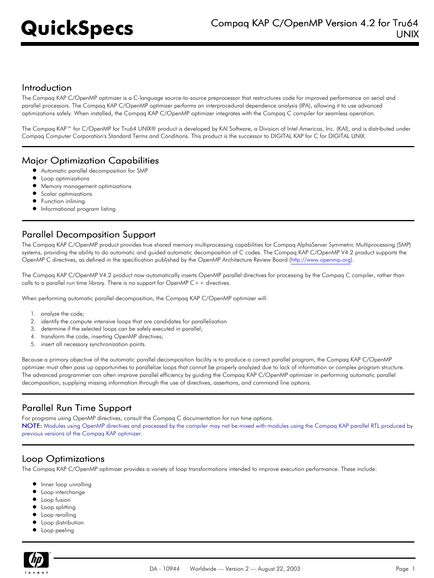#### Introduction

The Compaq KAP C/OpenMP optimizer is a C-language source-to-source preprocessor that restructures code for improved performance on serial and parallel processors. The Compaq KAP C/OpenMP optimizer performs an interprocedural dependence analysis (IPA), allowing it to use advanced optimizations safely. When installed, the Compaq KAP C/OpenMP optimizer integrates with the Compaq C compiler for seamless operation.

The Compaq KAP™ for C/OpenMP for Tru64 UNIX® product is developed by KAI Software, a Division of Intel Americas, Inc. (KAI), and is distributed under Compaq Computer Corporation's Standard Terms and Conditions. This product is the successor to DIGITAL KAP for C for DIGITAL UNIX.

#### Major Optimization Capabilities

- Automatic parallel decomposition for SMP
- **•** Loop optimizations
- **•** Memory management optimizations
- **•** Scalar optimizations
- **•** Function inlining
- **•** Informational program listing

# Parallel Decomposition Support

The Compaq KAP C/OpenMP product provides true shared memory multiprocessing capabilities for Compaq AlphaServer Symmetric Multiprocessing (SMP) systems, providing the ability to do automatic and guided automatic decomposition of C codes. The Compaq KAP C/OpenMP V4.2 product supports the OpenMP C directives, as defined in the specification published by the OpenMP Architecture Review Board [\(http://www.openmp.org](http://www.openmp.org)).

The Compaq KAP C/OpenMP V4.2 product now automatically inserts OpenMP parallel directives for processing by the Compaq C compiler, rather than calls to a parallel run time library. There is no support for OpenMP  $C++$  directives.

When performing automatic parallel decomposition, the Compaq KAP C/OpenMP optimizer will:

- 1. analyze the code;
- 2. identify the compute intensive loops that are candidates for parallelization
- 3. determine if the selected loops can be safely executed in parallel;
- 4. transform the code, inserting OpenMP directives;
- 5. insert all necessary synchronization points.

Because a primary objective of the automatic parallel decomposition facility is to produce a correct parallel program, the Compaq KAP C/OpenMP optimizer must often pass up opportunities to parallelize loops that cannot be properly analyzed due to lack of information or complex program structure. The advanced programmer can often improve parallel efficiency by guiding the Compaq KAP C/OpenMP optimizer in performing automatic parallel decomposition, supplying missing information through the use of directives, assertions, and command line options.

# Parallel Run Time Support

For programs using OpenMP directives, consult the Compaq C documentation for run time options. NOTE: Modules using OpenMP directives and processed by the compiler may not be mixed with modules using the Compaq KAP parallel RTL produced by previous versions of the Compaq KAP optimizer.

#### Loop Optimizations

The Compaq KAP C/OpenMP optimizer provides a variety of loop transformations intended to improve execution performance. These include:

- $\bullet$ Inner loop unrolling
- Loop interchange
- Loop fusion
- **•** Loop splitting
- **•** Loop rerolling
- **•** Loop distribution
- **•** Loop peeling

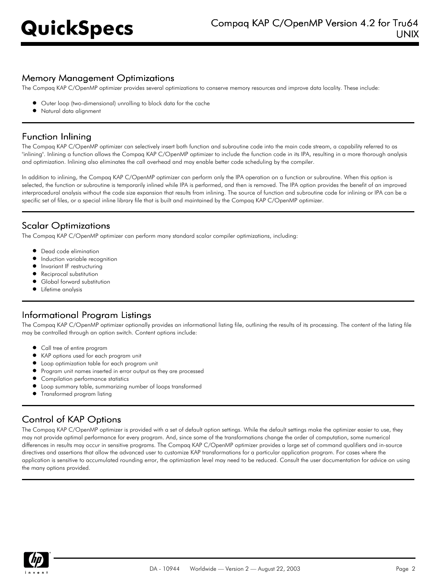### Memory Management Optimizations

The Compaq KAP C/OpenMP optimizer provides several optimizations to conserve memory resources and improve data locality. These include:

- Outer loop (two-dimensional) unrolling to block data for the cache
- Natural data alignment

# Function Inlining

The Compaq KAP C/OpenMP optimizer can selectively insert both function and subroutine code into the main code stream, a capability referred to as "inlining". Inlining a function allows the Compaq KAP C/OpenMP optimizer to include the function code in its IPA, resulting in a more thorough analysis and optimization. Inlining also eliminates the call overhead and may enable better code scheduling by the compiler.

In addition to inlining, the Compaq KAP C/OpenMP optimizer can perform only the IPA operation on a function or subroutine. When this option is selected, the function or subroutine is temporarily inlined while IPA is performed, and then is removed. The IPA option provides the benefit of an improved interprocedural analysis without the code size expansion that results from inlining. The source of function and subroutine code for inlining or IPA can be a specific set of files, or a special inline library file that is built and maintained by the Compaq KAP C/OpenMP optimizer.

# Scalar Optimizations

The Compaq KAP C/OpenMP optimizer can perform many standard scalar compiler optimizations, including:

- $\bullet$ Dead code elimination
- $\bullet$ Induction variable recognition
- $\bullet$ Invariant IF restructuring
- $\bullet$ Reciprocal substitution
- Global forward substitution
- **•** Lifetime analysis

# Informational Program Listings

The Compaq KAP C/OpenMP optimizer optionally provides an informational listing file, outlining the results of its processing. The content of the listing file may be controlled through an option switch. Content options include:

- Call tree of entire program
- KAP options used for each program unit
- Loop optimization table for each program unit
- Program unit names inserted in error output as they are processed
- **•** Compilation performance statistics
- Loop summary table, summarizing number of loops transformed
- Transformed program listing

# Control of KAP Options

The Compaq KAP C/OpenMP optimizer is provided with a set of default option settings. While the default settings make the optimizer easier to use, they may not provide optimal performance for every program. And, since some of the transformations change the order of computation, some numerical differences in results may occur in sensitive programs. The Compaq KAP C/OpenMP optimizer provides a large set of command qualifiers and in-source directives and assertions that allow the advanced user to customize KAP transformations for a particular application program. For cases where the application is sensitive to accumulated rounding error, the optimization level may need to be reduced. Consult the user documentation for advice on using the many options provided.

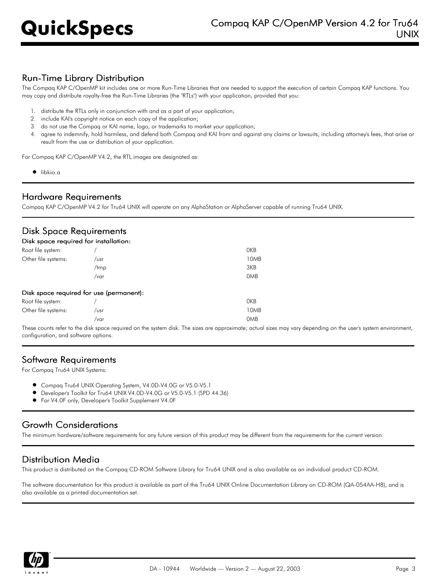# Run-Time Library Distribution

The Compaq KAP C/OpenMP kit includes one or more Run-Time Libraries that are needed to support the execution of certain Compaq KAP functions. You may copy and distribute royalty-free the Run-Time Libraries (the "RTLs") with your application, provided that you:

- 1. distribute the RTLs only in conjunction with and as a part of your application;
- 2. include KAI's copyright notice on each copy of the application;
- 3. do not use the Compaq or KAI name, logo, or trademarks to market your application;
- 4. agree to indemnify, hold harmless, and defend both Compaq and KAI from and against any claims or lawsuits, including attorney's fees, that arise or result from the use or distribution of your application.

For Compaq KAP C/OpenMP V4.2, the RTL images are designated as:

 $\bullet$  libkio.a

#### Hardware Requirements

Compaq KAP C/OpenMP V4.2 for Tru64 UNIX will operate on any AlphaStation or AlphaServer capable of running Tru64 UNIX.

### Disk Space Requirements

| Disk space required for installation; |                                          |            |
|---------------------------------------|------------------------------------------|------------|
| Root file system:                     |                                          | 0KB        |
| Other file systems:                   | /usr                                     | 10MB       |
|                                       | /tmp                                     | 3KB        |
|                                       | $/\text{var}$                            | <b>OMB</b> |
|                                       | Disk space required for use (permanent): |            |
| Root file system:                     |                                          | <b>OKB</b> |
| Other file systems:                   | /usr                                     | 10MB       |
|                                       | /var                                     | <b>OMB</b> |

These counts refer to the disk space required on the system disk. The sizes are approximate; actual sizes may vary depending on the user's system environment, configuration, and software options.

#### Software Requirements

For Compaq Tru64 UNIX Systems:

- Compaq Tru64 UNIX Operating System, V4.0D-V4.0G or V5.0-V5.1
- Developer's Toolkit for Tru64 UNIX V4.0D-V4.0G or V5.0-V5.1 (SPD 44.36)
- For V4.0F only, Developer's Toolkit Supplement V4.0F

# Growth Considerations

The minimum hardware/software requirements for any future version of this product may be different from the requirements for the current version.

#### Distribution Media

This product is distributed on the Compaq CD-ROM Software Library for Tru64 UNIX and is also available as an individual product CD-ROM.

The software documentation for this product is available as part of the Tru64 UNIX Online Documentation Library on CD-ROM (QA-054AA-H8), and is also available as a printed documentation set.